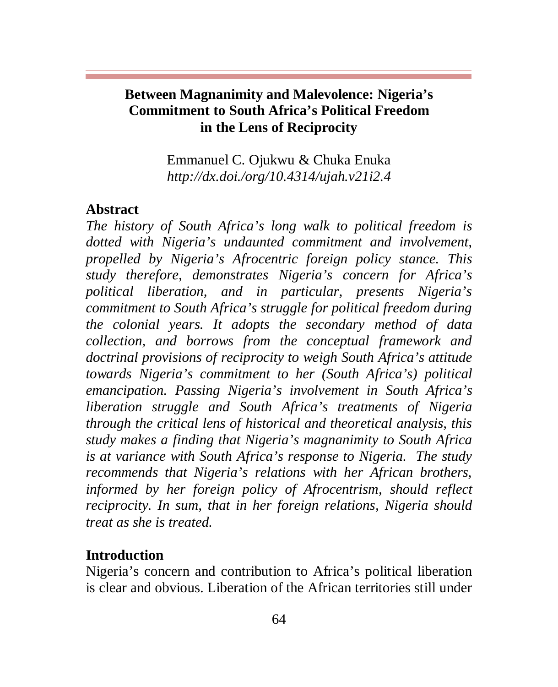Emmanuel C. Ojukwu & Chuka Enuka *http://dx.doi./org/10.4314/ujah.v21i2.4*

## **Abstract**

*The history of South Africa's long walk to political freedom is dotted with Nigeria's undaunted commitment and involvement, propelled by Nigeria's Afrocentric foreign policy stance. This study therefore, demonstrates Nigeria's concern for Africa's political liberation, and in particular, presents Nigeria's commitment to South Africa's struggle for political freedom during the colonial years. It adopts the secondary method of data collection, and borrows from the conceptual framework and doctrinal provisions of reciprocity to weigh South Africa's attitude towards Nigeria's commitment to her (South Africa's) political emancipation. Passing Nigeria's involvement in South Africa's liberation struggle and South Africa's treatments of Nigeria through the critical lens of historical and theoretical analysis, this study makes a finding that Nigeria's magnanimity to South Africa is at variance with South Africa's response to Nigeria. The study recommends that Nigeria's relations with her African brothers, informed by her foreign policy of Afrocentrism, should reflect reciprocity. In sum, that in her foreign relations, Nigeria should treat as she is treated.* 

## **Introduction**

Nigeria's concern and contribution to Africa's political liberation is clear and obvious. Liberation of the African territories still under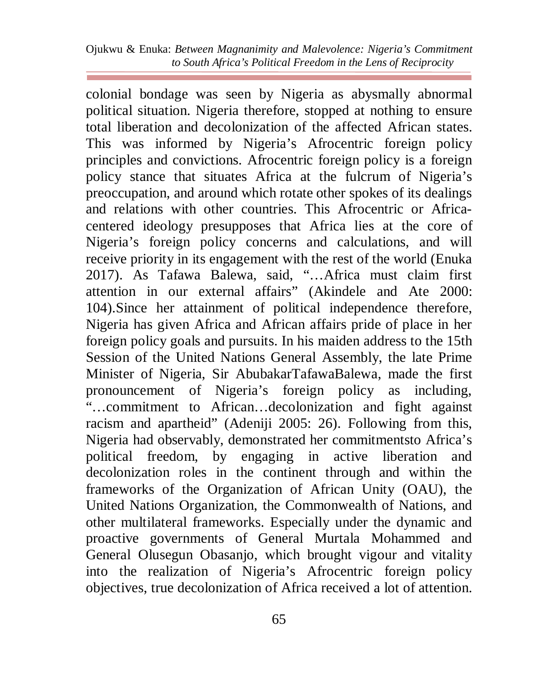colonial bondage was seen by Nigeria as abysmally abnormal political situation. Nigeria therefore, stopped at nothing to ensure total liberation and decolonization of the affected African states. This was informed by Nigeria's Afrocentric foreign policy principles and convictions. Afrocentric foreign policy is a foreign policy stance that situates Africa at the fulcrum of Nigeria's preoccupation, and around which rotate other spokes of its dealings and relations with other countries. This Afrocentric or Africacentered ideology presupposes that Africa lies at the core of Nigeria's foreign policy concerns and calculations, and will receive priority in its engagement with the rest of the world (Enuka 2017). As Tafawa Balewa, said, "…Africa must claim first attention in our external affairs" (Akindele and Ate 2000: 104).Since her attainment of political independence therefore, Nigeria has given Africa and African affairs pride of place in her foreign policy goals and pursuits. In his maiden address to the 15th Session of the United Nations General Assembly, the late Prime Minister of Nigeria, Sir AbubakarTafawaBalewa, made the first pronouncement of Nigeria's foreign policy as including, "…commitment to African…decolonization and fight against racism and apartheid" (Adeniji 2005: 26). Following from this, Nigeria had observably, demonstrated her commitmentsto Africa's political freedom, by engaging in active liberation and decolonization roles in the continent through and within the frameworks of the Organization of African Unity (OAU), the United Nations Organization, the Commonwealth of Nations, and other multilateral frameworks. Especially under the dynamic and proactive governments of General Murtala Mohammed and General Olusegun Obasanjo, which brought vigour and vitality into the realization of Nigeria's Afrocentric foreign policy objectives, true decolonization of Africa received a lot of attention.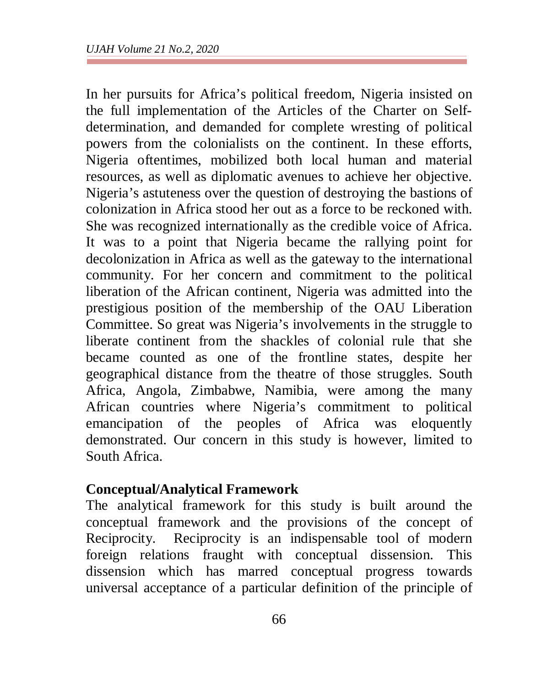In her pursuits for Africa's political freedom, Nigeria insisted on the full implementation of the Articles of the Charter on Selfdetermination, and demanded for complete wresting of political powers from the colonialists on the continent. In these efforts, Nigeria oftentimes, mobilized both local human and material resources, as well as diplomatic avenues to achieve her objective. Nigeria's astuteness over the question of destroying the bastions of colonization in Africa stood her out as a force to be reckoned with. She was recognized internationally as the credible voice of Africa. It was to a point that Nigeria became the rallying point for decolonization in Africa as well as the gateway to the international community. For her concern and commitment to the political liberation of the African continent, Nigeria was admitted into the prestigious position of the membership of the OAU Liberation Committee. So great was Nigeria's involvements in the struggle to liberate continent from the shackles of colonial rule that she became counted as one of the frontline states, despite her geographical distance from the theatre of those struggles. South Africa, Angola, Zimbabwe, Namibia, were among the many African countries where Nigeria's commitment to political emancipation of the peoples of Africa was eloquently demonstrated. Our concern in this study is however, limited to South Africa.

## **Conceptual/Analytical Framework**

The analytical framework for this study is built around the conceptual framework and the provisions of the concept of Reciprocity. Reciprocity is an indispensable tool of modern foreign relations fraught with conceptual dissension. This dissension which has marred conceptual progress towards universal acceptance of a particular definition of the principle of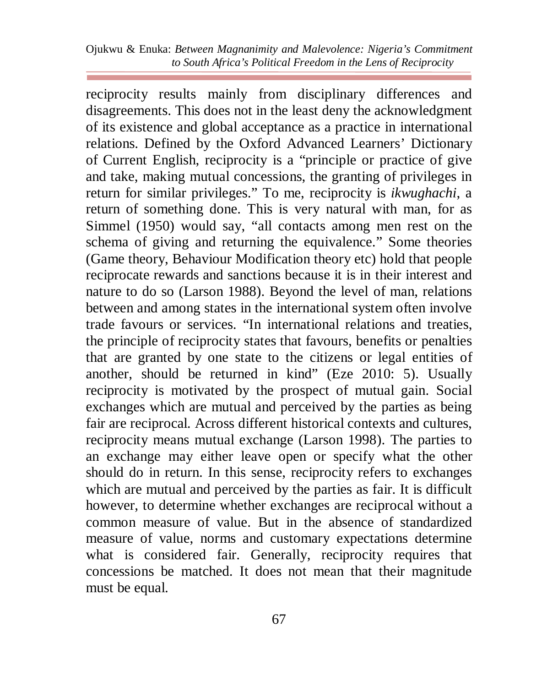reciprocity results mainly from disciplinary differences and disagreements. This does not in the least deny the acknowledgment of its existence and global acceptance as a practice in international relations. Defined by the Oxford Advanced Learners' Dictionary of Current English, reciprocity is a "principle or practice of give and take, making mutual concessions, the granting of privileges in return for similar privileges." To me, reciprocity is *ikwughachi*, a return of something done. This is very natural with man, for as Simmel (1950) would say, "all contacts among men rest on the schema of giving and returning the equivalence." Some theories (Game theory, Behaviour Modification theory etc) hold that people reciprocate rewards and sanctions because it is in their interest and nature to do so (Larson 1988). Beyond the level of man, relations between and among states in the international system often involve trade favours or services. "In international relations and treaties, the principle of reciprocity states that favours, benefits or penalties that are granted by one state to the citizens or legal entities of another, should be returned in kind" (Eze 2010: 5). Usually reciprocity is motivated by the prospect of mutual gain. Social exchanges which are mutual and perceived by the parties as being fair are reciprocal. Across different historical contexts and cultures, reciprocity means mutual exchange (Larson 1998). The parties to an exchange may either leave open or specify what the other should do in return. In this sense, reciprocity refers to exchanges which are mutual and perceived by the parties as fair. It is difficult however, to determine whether exchanges are reciprocal without a common measure of value. But in the absence of standardized measure of value, norms and customary expectations determine what is considered fair. Generally, reciprocity requires that concessions be matched. It does not mean that their magnitude must be equal.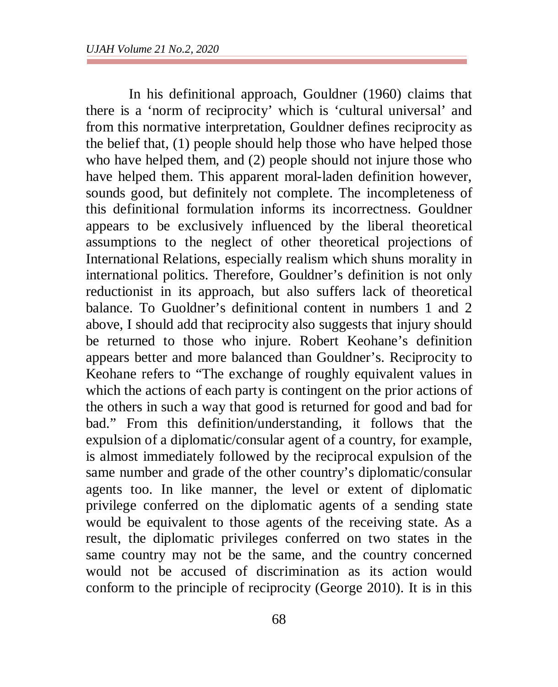In his definitional approach, Gouldner (1960) claims that there is a 'norm of reciprocity' which is 'cultural universal' and from this normative interpretation, Gouldner defines reciprocity as the belief that, (1) people should help those who have helped those who have helped them, and (2) people should not injure those who have helped them. This apparent moral-laden definition however, sounds good, but definitely not complete. The incompleteness of this definitional formulation informs its incorrectness. Gouldner appears to be exclusively influenced by the liberal theoretical assumptions to the neglect of other theoretical projections of International Relations, especially realism which shuns morality in international politics. Therefore, Gouldner's definition is not only reductionist in its approach, but also suffers lack of theoretical balance. To Guoldner's definitional content in numbers 1 and 2 above, I should add that reciprocity also suggests that injury should be returned to those who injure. Robert Keohane's definition appears better and more balanced than Gouldner's. Reciprocity to Keohane refers to "The exchange of roughly equivalent values in which the actions of each party is contingent on the prior actions of the others in such a way that good is returned for good and bad for bad." From this definition/understanding, it follows that the expulsion of a diplomatic/consular agent of a country, for example, is almost immediately followed by the reciprocal expulsion of the same number and grade of the other country's diplomatic/consular agents too. In like manner, the level or extent of diplomatic privilege conferred on the diplomatic agents of a sending state would be equivalent to those agents of the receiving state. As a result, the diplomatic privileges conferred on two states in the same country may not be the same, and the country concerned would not be accused of discrimination as its action would conform to the principle of reciprocity (George 2010). It is in this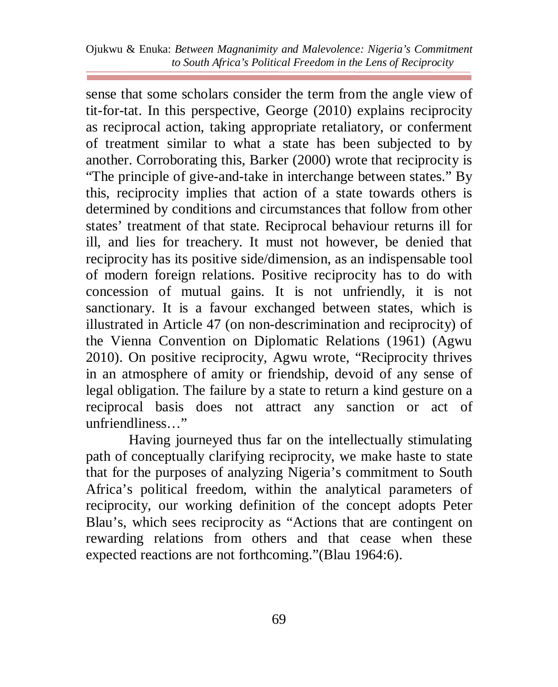sense that some scholars consider the term from the angle view of tit-for-tat. In this perspective, George (2010) explains reciprocity as reciprocal action, taking appropriate retaliatory, or conferment of treatment similar to what a state has been subjected to by another. Corroborating this, Barker (2000) wrote that reciprocity is "The principle of give-and-take in interchange between states." By this, reciprocity implies that action of a state towards others is determined by conditions and circumstances that follow from other states' treatment of that state. Reciprocal behaviour returns ill for ill, and lies for treachery. It must not however, be denied that reciprocity has its positive side/dimension, as an indispensable tool of modern foreign relations. Positive reciprocity has to do with concession of mutual gains. It is not unfriendly, it is not sanctionary. It is a favour exchanged between states, which is illustrated in Article 47 (on non-descrimination and reciprocity) of the Vienna Convention on Diplomatic Relations (1961) (Agwu 2010). On positive reciprocity, Agwu wrote, "Reciprocity thrives in an atmosphere of amity or friendship, devoid of any sense of legal obligation. The failure by a state to return a kind gesture on a reciprocal basis does not attract any sanction or act of unfriendliness…"

Having journeyed thus far on the intellectually stimulating path of conceptually clarifying reciprocity, we make haste to state that for the purposes of analyzing Nigeria's commitment to South Africa's political freedom, within the analytical parameters of reciprocity, our working definition of the concept adopts Peter Blau's, which sees reciprocity as "Actions that are contingent on rewarding relations from others and that cease when these expected reactions are not forthcoming."(Blau 1964:6).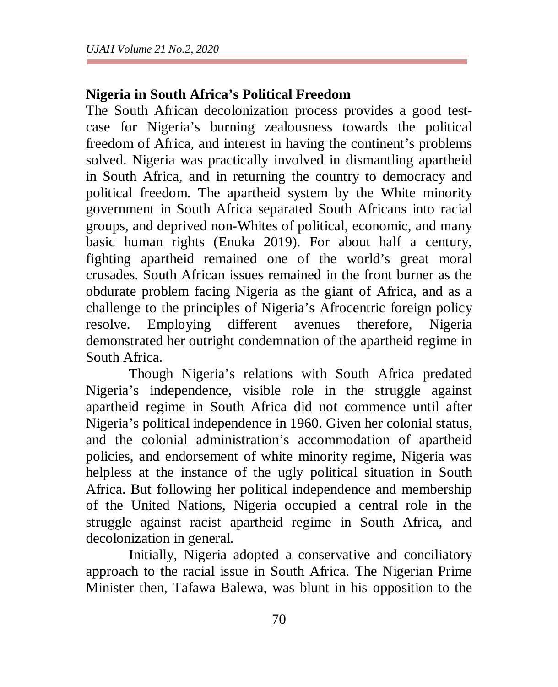## **Nigeria in South Africa's Political Freedom**

The South African decolonization process provides a good testcase for Nigeria's burning zealousness towards the political freedom of Africa, and interest in having the continent's problems solved. Nigeria was practically involved in dismantling apartheid in South Africa, and in returning the country to democracy and political freedom. The apartheid system by the White minority government in South Africa separated South Africans into racial groups, and deprived non-Whites of political, economic, and many basic human rights (Enuka 2019). For about half a century, fighting apartheid remained one of the world's great moral crusades. South African issues remained in the front burner as the obdurate problem facing Nigeria as the giant of Africa, and as a challenge to the principles of Nigeria's Afrocentric foreign policy resolve. Employing different avenues therefore, Nigeria demonstrated her outright condemnation of the apartheid regime in South Africa.

Though Nigeria's relations with South Africa predated Nigeria's independence, visible role in the struggle against apartheid regime in South Africa did not commence until after Nigeria's political independence in 1960. Given her colonial status, and the colonial administration's accommodation of apartheid policies, and endorsement of white minority regime, Nigeria was helpless at the instance of the ugly political situation in South Africa. But following her political independence and membership of the United Nations, Nigeria occupied a central role in the struggle against racist apartheid regime in South Africa, and decolonization in general.

Initially, Nigeria adopted a conservative and conciliatory approach to the racial issue in South Africa. The Nigerian Prime Minister then, Tafawa Balewa, was blunt in his opposition to the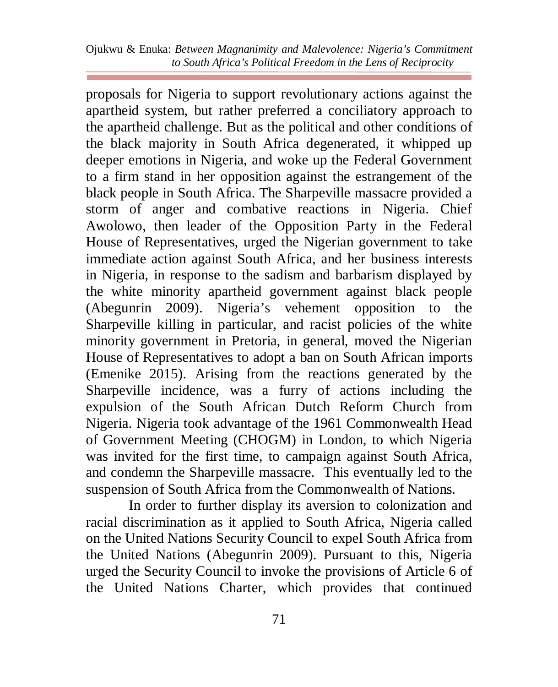proposals for Nigeria to support revolutionary actions against the apartheid system, but rather preferred a conciliatory approach to the apartheid challenge. But as the political and other conditions of the black majority in South Africa degenerated, it whipped up deeper emotions in Nigeria, and woke up the Federal Government to a firm stand in her opposition against the estrangement of the black people in South Africa. The Sharpeville massacre provided a storm of anger and combative reactions in Nigeria. Chief Awolowo, then leader of the Opposition Party in the Federal House of Representatives, urged the Nigerian government to take immediate action against South Africa, and her business interests in Nigeria, in response to the sadism and barbarism displayed by the white minority apartheid government against black people (Abegunrin 2009). Nigeria's vehement opposition to the Sharpeville killing in particular, and racist policies of the white minority government in Pretoria, in general, moved the Nigerian House of Representatives to adopt a ban on South African imports (Emenike 2015). Arising from the reactions generated by the Sharpeville incidence, was a furry of actions including the expulsion of the South African Dutch Reform Church from Nigeria. Nigeria took advantage of the 1961 Commonwealth Head of Government Meeting (CHOGM) in London, to which Nigeria was invited for the first time, to campaign against South Africa, and condemn the Sharpeville massacre. This eventually led to the suspension of South Africa from the Commonwealth of Nations.

In order to further display its aversion to colonization and racial discrimination as it applied to South Africa, Nigeria called on the United Nations Security Council to expel South Africa from the United Nations (Abegunrin 2009). Pursuant to this, Nigeria urged the Security Council to invoke the provisions of Article 6 of the United Nations Charter, which provides that continued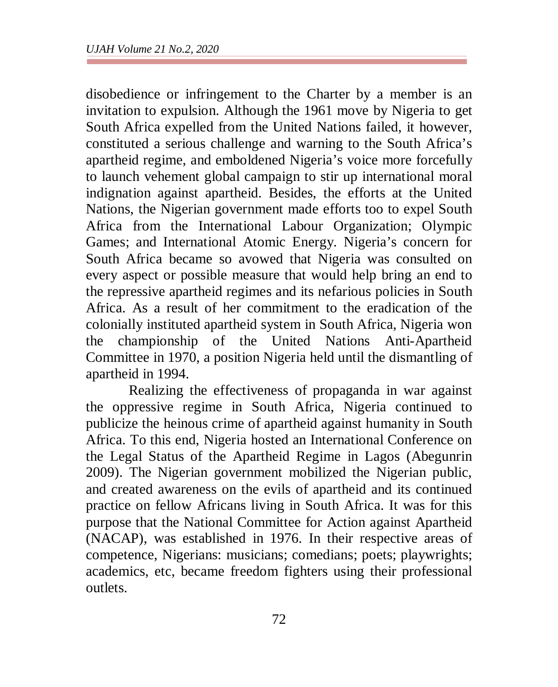disobedience or infringement to the Charter by a member is an invitation to expulsion. Although the 1961 move by Nigeria to get South Africa expelled from the United Nations failed, it however, constituted a serious challenge and warning to the South Africa's apartheid regime, and emboldened Nigeria's voice more forcefully to launch vehement global campaign to stir up international moral indignation against apartheid. Besides, the efforts at the United Nations, the Nigerian government made efforts too to expel South Africa from the International Labour Organization; Olympic Games; and International Atomic Energy. Nigeria's concern for South Africa became so avowed that Nigeria was consulted on every aspect or possible measure that would help bring an end to the repressive apartheid regimes and its nefarious policies in South Africa. As a result of her commitment to the eradication of the colonially instituted apartheid system in South Africa, Nigeria won the championship of the United Nations Anti-Apartheid Committee in 1970, a position Nigeria held until the dismantling of apartheid in 1994.

Realizing the effectiveness of propaganda in war against the oppressive regime in South Africa, Nigeria continued to publicize the heinous crime of apartheid against humanity in South Africa. To this end, Nigeria hosted an International Conference on the Legal Status of the Apartheid Regime in Lagos (Abegunrin 2009). The Nigerian government mobilized the Nigerian public, and created awareness on the evils of apartheid and its continued practice on fellow Africans living in South Africa. It was for this purpose that the National Committee for Action against Apartheid (NACAP), was established in 1976. In their respective areas of competence, Nigerians: musicians; comedians; poets; playwrights; academics, etc, became freedom fighters using their professional outlets.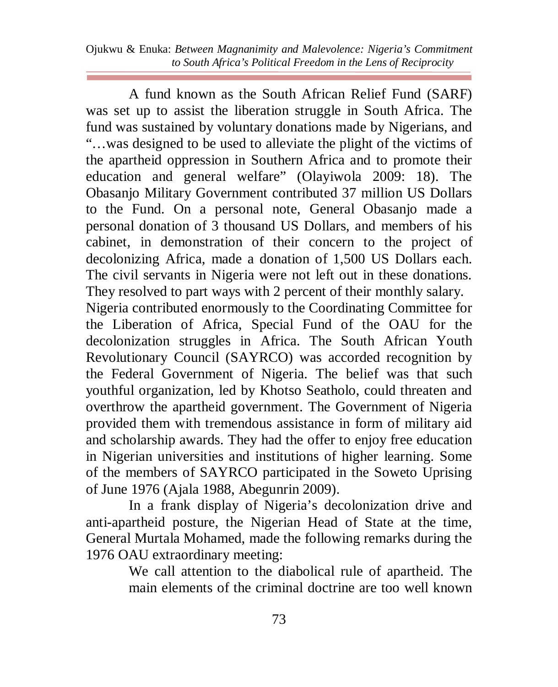A fund known as the South African Relief Fund (SARF) was set up to assist the liberation struggle in South Africa. The fund was sustained by voluntary donations made by Nigerians, and "…was designed to be used to alleviate the plight of the victims of the apartheid oppression in Southern Africa and to promote their education and general welfare" (Olayiwola 2009: 18). The Obasanjo Military Government contributed 37 million US Dollars to the Fund. On a personal note, General Obasanjo made a personal donation of 3 thousand US Dollars, and members of his cabinet, in demonstration of their concern to the project of decolonizing Africa, made a donation of 1,500 US Dollars each. The civil servants in Nigeria were not left out in these donations. They resolved to part ways with 2 percent of their monthly salary. Nigeria contributed enormously to the Coordinating Committee for

the Liberation of Africa, Special Fund of the OAU for the decolonization struggles in Africa. The South African Youth Revolutionary Council (SAYRCO) was accorded recognition by the Federal Government of Nigeria. The belief was that such youthful organization, led by Khotso Seatholo, could threaten and overthrow the apartheid government. The Government of Nigeria provided them with tremendous assistance in form of military aid and scholarship awards. They had the offer to enjoy free education in Nigerian universities and institutions of higher learning. Some of the members of SAYRCO participated in the Soweto Uprising of June 1976 (Ajala 1988, Abegunrin 2009).

In a frank display of Nigeria's decolonization drive and anti-apartheid posture, the Nigerian Head of State at the time, General Murtala Mohamed, made the following remarks during the 1976 OAU extraordinary meeting:

> We call attention to the diabolical rule of apartheid. The main elements of the criminal doctrine are too well known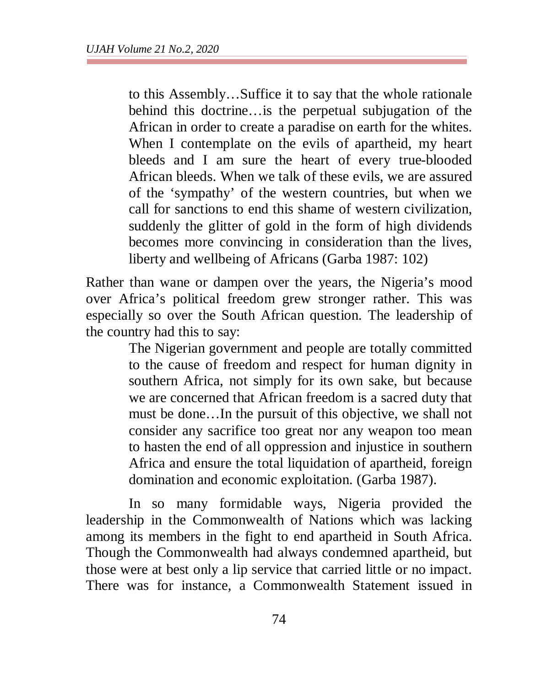to this Assembly…Suffice it to say that the whole rationale behind this doctrine…is the perpetual subjugation of the African in order to create a paradise on earth for the whites. When I contemplate on the evils of apartheid, my heart bleeds and I am sure the heart of every true-blooded African bleeds. When we talk of these evils, we are assured of the 'sympathy' of the western countries, but when we call for sanctions to end this shame of western civilization, suddenly the glitter of gold in the form of high dividends becomes more convincing in consideration than the lives, liberty and wellbeing of Africans (Garba 1987: 102)

Rather than wane or dampen over the years, the Nigeria's mood over Africa's political freedom grew stronger rather. This was especially so over the South African question. The leadership of the country had this to say:

> The Nigerian government and people are totally committed to the cause of freedom and respect for human dignity in southern Africa, not simply for its own sake, but because we are concerned that African freedom is a sacred duty that must be done…In the pursuit of this objective, we shall not consider any sacrifice too great nor any weapon too mean to hasten the end of all oppression and injustice in southern Africa and ensure the total liquidation of apartheid, foreign domination and economic exploitation. (Garba 1987).

In so many formidable ways, Nigeria provided the leadership in the Commonwealth of Nations which was lacking among its members in the fight to end apartheid in South Africa. Though the Commonwealth had always condemned apartheid, but those were at best only a lip service that carried little or no impact. There was for instance, a Commonwealth Statement issued in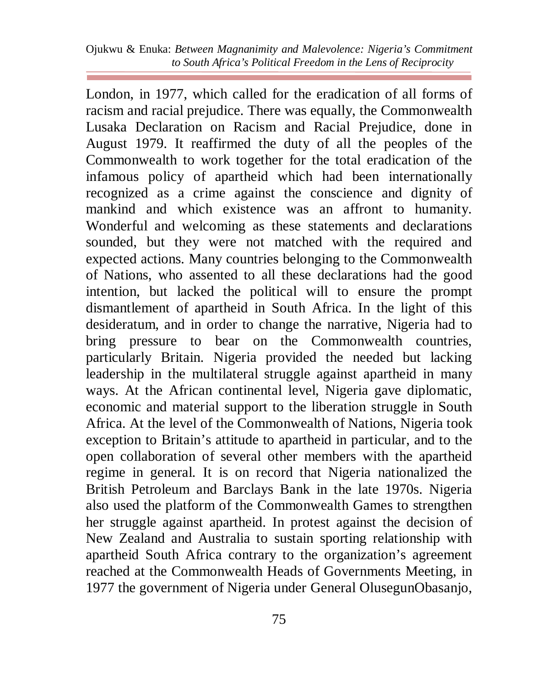Ojukwu & Enuka: *Between Magnanimity and Malevolence: Nigeria's Commitment to South Africa's Political Freedom in the Lens of Reciprocity*

London, in 1977, which called for the eradication of all forms of racism and racial prejudice. There was equally, the Commonwealth Lusaka Declaration on Racism and Racial Prejudice, done in August 1979. It reaffirmed the duty of all the peoples of the Commonwealth to work together for the total eradication of the infamous policy of apartheid which had been internationally recognized as a crime against the conscience and dignity of mankind and which existence was an affront to humanity. Wonderful and welcoming as these statements and declarations sounded, but they were not matched with the required and expected actions. Many countries belonging to the Commonwealth of Nations, who assented to all these declarations had the good intention, but lacked the political will to ensure the prompt dismantlement of apartheid in South Africa. In the light of this desideratum, and in order to change the narrative, Nigeria had to bring pressure to bear on the Commonwealth countries, particularly Britain. Nigeria provided the needed but lacking leadership in the multilateral struggle against apartheid in many ways. At the African continental level, Nigeria gave diplomatic, economic and material support to the liberation struggle in South Africa. At the level of the Commonwealth of Nations, Nigeria took exception to Britain's attitude to apartheid in particular, and to the open collaboration of several other members with the apartheid regime in general. It is on record that Nigeria nationalized the British Petroleum and Barclays Bank in the late 1970s. Nigeria also used the platform of the Commonwealth Games to strengthen her struggle against apartheid. In protest against the decision of New Zealand and Australia to sustain sporting relationship with apartheid South Africa contrary to the organization's agreement reached at the Commonwealth Heads of Governments Meeting, in 1977 the government of Nigeria under General OlusegunObasanjo,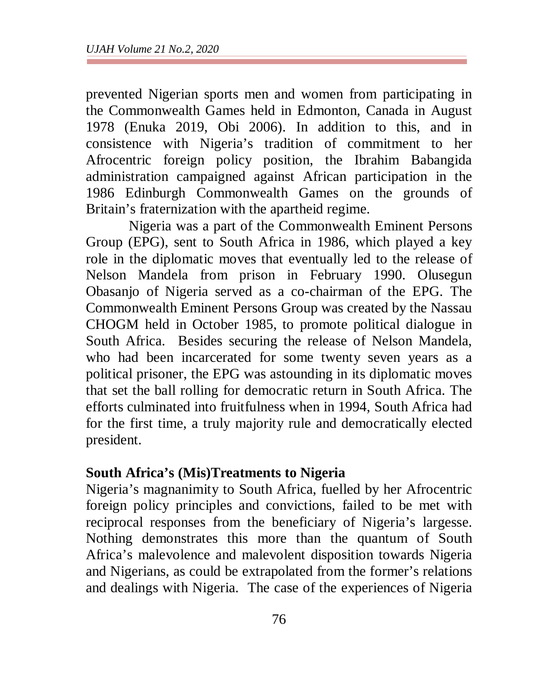prevented Nigerian sports men and women from participating in the Commonwealth Games held in Edmonton, Canada in August 1978 (Enuka 2019, Obi 2006). In addition to this, and in consistence with Nigeria's tradition of commitment to her Afrocentric foreign policy position, the Ibrahim Babangida administration campaigned against African participation in the 1986 Edinburgh Commonwealth Games on the grounds of Britain's fraternization with the apartheid regime.

Nigeria was a part of the Commonwealth Eminent Persons Group (EPG), sent to South Africa in 1986, which played a key role in the diplomatic moves that eventually led to the release of Nelson Mandela from prison in February 1990. Olusegun Obasanjo of Nigeria served as a co-chairman of the EPG. The Commonwealth Eminent Persons Group was created by the Nassau CHOGM held in October 1985, to promote political dialogue in South Africa. Besides securing the release of Nelson Mandela, who had been incarcerated for some twenty seven years as a political prisoner, the EPG was astounding in its diplomatic moves that set the ball rolling for democratic return in South Africa. The efforts culminated into fruitfulness when in 1994, South Africa had for the first time, a truly majority rule and democratically elected president.

## **South Africa's (Mis)Treatments to Nigeria**

Nigeria's magnanimity to South Africa, fuelled by her Afrocentric foreign policy principles and convictions, failed to be met with reciprocal responses from the beneficiary of Nigeria's largesse. Nothing demonstrates this more than the quantum of South Africa's malevolence and malevolent disposition towards Nigeria and Nigerians, as could be extrapolated from the former's relations and dealings with Nigeria. The case of the experiences of Nigeria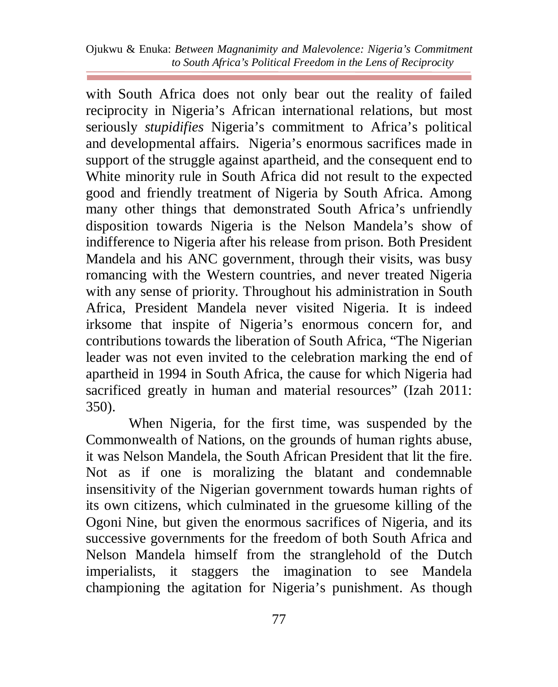with South Africa does not only bear out the reality of failed reciprocity in Nigeria's African international relations, but most seriously *stupidifies* Nigeria's commitment to Africa's political and developmental affairs. Nigeria's enormous sacrifices made in support of the struggle against apartheid, and the consequent end to White minority rule in South Africa did not result to the expected good and friendly treatment of Nigeria by South Africa. Among many other things that demonstrated South Africa's unfriendly disposition towards Nigeria is the Nelson Mandela's show of indifference to Nigeria after his release from prison. Both President Mandela and his ANC government, through their visits, was busy romancing with the Western countries, and never treated Nigeria with any sense of priority. Throughout his administration in South Africa, President Mandela never visited Nigeria. It is indeed irksome that inspite of Nigeria's enormous concern for, and contributions towards the liberation of South Africa, "The Nigerian leader was not even invited to the celebration marking the end of apartheid in 1994 in South Africa, the cause for which Nigeria had sacrificed greatly in human and material resources" (Izah 2011: 350).

When Nigeria, for the first time, was suspended by the Commonwealth of Nations, on the grounds of human rights abuse, it was Nelson Mandela, the South African President that lit the fire. Not as if one is moralizing the blatant and condemnable insensitivity of the Nigerian government towards human rights of its own citizens, which culminated in the gruesome killing of the Ogoni Nine, but given the enormous sacrifices of Nigeria, and its successive governments for the freedom of both South Africa and Nelson Mandela himself from the stranglehold of the Dutch imperialists, it staggers the imagination to see Mandela championing the agitation for Nigeria's punishment. As though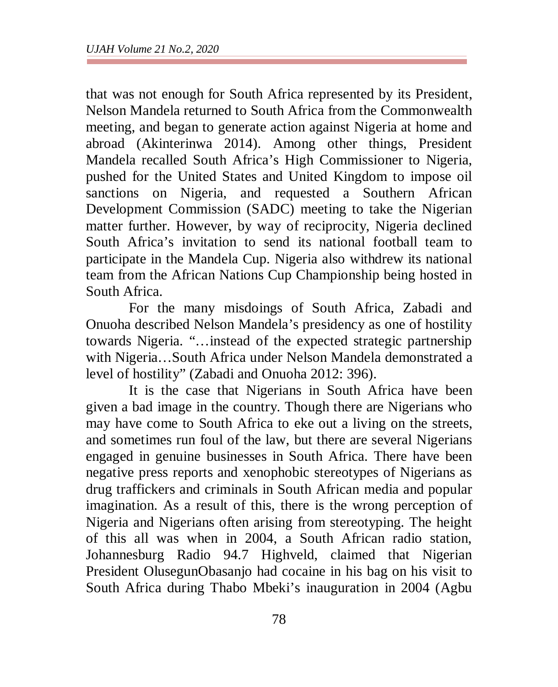that was not enough for South Africa represented by its President, Nelson Mandela returned to South Africa from the Commonwealth meeting, and began to generate action against Nigeria at home and abroad (Akinterinwa 2014). Among other things, President Mandela recalled South Africa's High Commissioner to Nigeria, pushed for the United States and United Kingdom to impose oil sanctions on Nigeria, and requested a Southern African Development Commission (SADC) meeting to take the Nigerian matter further. However, by way of reciprocity, Nigeria declined South Africa's invitation to send its national football team to participate in the Mandela Cup. Nigeria also withdrew its national team from the African Nations Cup Championship being hosted in South Africa.

For the many misdoings of South Africa, Zabadi and Onuoha described Nelson Mandela's presidency as one of hostility towards Nigeria. "…instead of the expected strategic partnership with Nigeria…South Africa under Nelson Mandela demonstrated a level of hostility" (Zabadi and Onuoha 2012: 396).

It is the case that Nigerians in South Africa have been given a bad image in the country. Though there are Nigerians who may have come to South Africa to eke out a living on the streets, and sometimes run foul of the law, but there are several Nigerians engaged in genuine businesses in South Africa. There have been negative press reports and xenophobic stereotypes of Nigerians as drug traffickers and criminals in South African media and popular imagination. As a result of this, there is the wrong perception of Nigeria and Nigerians often arising from stereotyping. The height of this all was when in 2004, a South African radio station, Johannesburg Radio 94.7 Highveld, claimed that Nigerian President OlusegunObasanjo had cocaine in his bag on his visit to South Africa during Thabo Mbeki's inauguration in 2004 (Agbu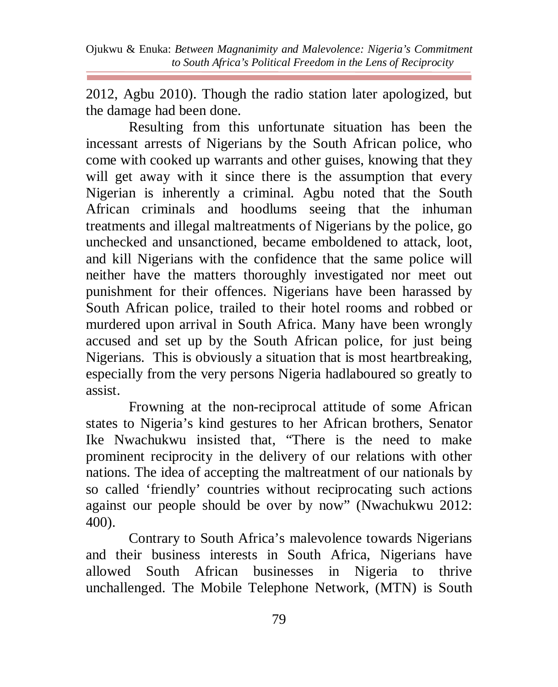2012, Agbu 2010). Though the radio station later apologized, but the damage had been done.

Resulting from this unfortunate situation has been the incessant arrests of Nigerians by the South African police, who come with cooked up warrants and other guises, knowing that they will get away with it since there is the assumption that every Nigerian is inherently a criminal. Agbu noted that the South African criminals and hoodlums seeing that the inhuman treatments and illegal maltreatments of Nigerians by the police, go unchecked and unsanctioned, became emboldened to attack, loot, and kill Nigerians with the confidence that the same police will neither have the matters thoroughly investigated nor meet out punishment for their offences. Nigerians have been harassed by South African police, trailed to their hotel rooms and robbed or murdered upon arrival in South Africa. Many have been wrongly accused and set up by the South African police, for just being Nigerians. This is obviously a situation that is most heartbreaking, especially from the very persons Nigeria hadlaboured so greatly to assist.

Frowning at the non-reciprocal attitude of some African states to Nigeria's kind gestures to her African brothers, Senator Ike Nwachukwu insisted that, "There is the need to make prominent reciprocity in the delivery of our relations with other nations. The idea of accepting the maltreatment of our nationals by so called 'friendly' countries without reciprocating such actions against our people should be over by now" (Nwachukwu 2012: 400).

Contrary to South Africa's malevolence towards Nigerians and their business interests in South Africa, Nigerians have allowed South African businesses in Nigeria to thrive unchallenged. The Mobile Telephone Network, (MTN) is South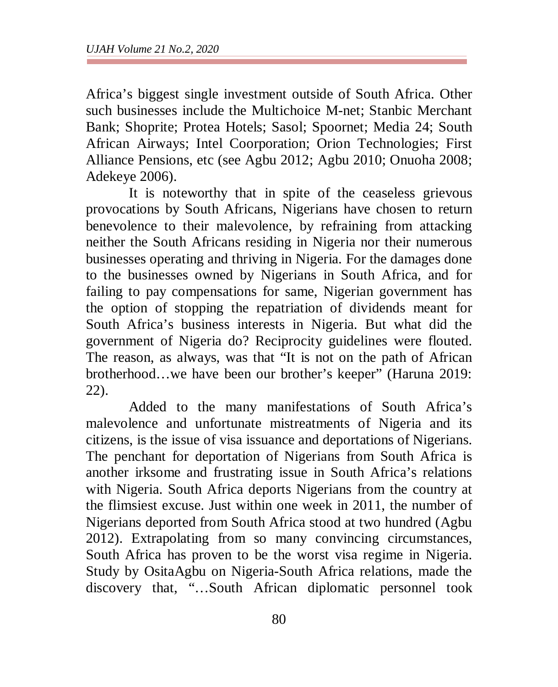Africa's biggest single investment outside of South Africa. Other such businesses include the Multichoice M-net; Stanbic Merchant Bank; Shoprite; Protea Hotels; Sasol; Spoornet; Media 24; South African Airways; Intel Coorporation; Orion Technologies; First Alliance Pensions, etc (see Agbu 2012; Agbu 2010; Onuoha 2008; Adekeye 2006).

It is noteworthy that in spite of the ceaseless grievous provocations by South Africans, Nigerians have chosen to return benevolence to their malevolence, by refraining from attacking neither the South Africans residing in Nigeria nor their numerous businesses operating and thriving in Nigeria. For the damages done to the businesses owned by Nigerians in South Africa, and for failing to pay compensations for same, Nigerian government has the option of stopping the repatriation of dividends meant for South Africa's business interests in Nigeria. But what did the government of Nigeria do? Reciprocity guidelines were flouted. The reason, as always, was that "It is not on the path of African brotherhood…we have been our brother's keeper" (Haruna 2019: 22).

Added to the many manifestations of South Africa's malevolence and unfortunate mistreatments of Nigeria and its citizens, is the issue of visa issuance and deportations of Nigerians. The penchant for deportation of Nigerians from South Africa is another irksome and frustrating issue in South Africa's relations with Nigeria. South Africa deports Nigerians from the country at the flimsiest excuse. Just within one week in 2011, the number of Nigerians deported from South Africa stood at two hundred (Agbu 2012). Extrapolating from so many convincing circumstances, South Africa has proven to be the worst visa regime in Nigeria. Study by OsitaAgbu on Nigeria-South Africa relations, made the discovery that, "…South African diplomatic personnel took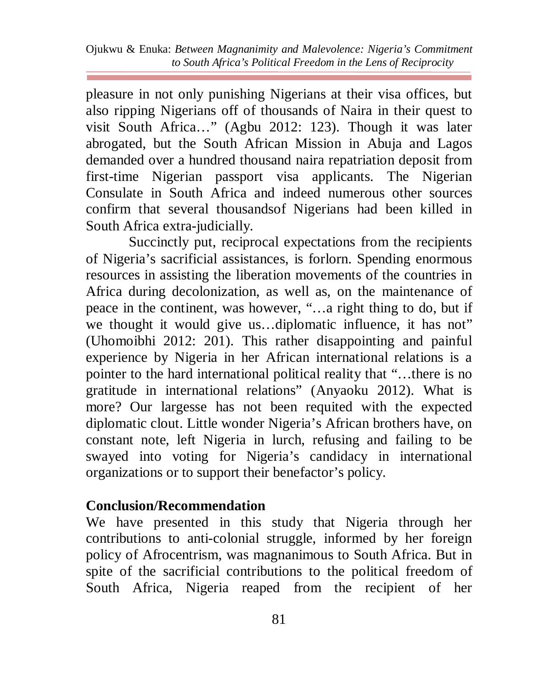pleasure in not only punishing Nigerians at their visa offices, but also ripping Nigerians off of thousands of Naira in their quest to visit South Africa…" (Agbu 2012: 123). Though it was later abrogated, but the South African Mission in Abuja and Lagos demanded over a hundred thousand naira repatriation deposit from first-time Nigerian passport visa applicants. The Nigerian Consulate in South Africa and indeed numerous other sources confirm that several thousandsof Nigerians had been killed in South Africa extra-judicially.

Succinctly put, reciprocal expectations from the recipients of Nigeria's sacrificial assistances, is forlorn. Spending enormous resources in assisting the liberation movements of the countries in Africa during decolonization, as well as, on the maintenance of peace in the continent, was however, "…a right thing to do, but if we thought it would give us…diplomatic influence, it has not" (Uhomoibhi 2012: 201). This rather disappointing and painful experience by Nigeria in her African international relations is a pointer to the hard international political reality that "…there is no gratitude in international relations" (Anyaoku 2012). What is more? Our largesse has not been requited with the expected diplomatic clout. Little wonder Nigeria's African brothers have, on constant note, left Nigeria in lurch, refusing and failing to be swayed into voting for Nigeria's candidacy in international organizations or to support their benefactor's policy.

## **Conclusion/Recommendation**

We have presented in this study that Nigeria through her contributions to anti-colonial struggle, informed by her foreign policy of Afrocentrism, was magnanimous to South Africa. But in spite of the sacrificial contributions to the political freedom of South Africa, Nigeria reaped from the recipient of her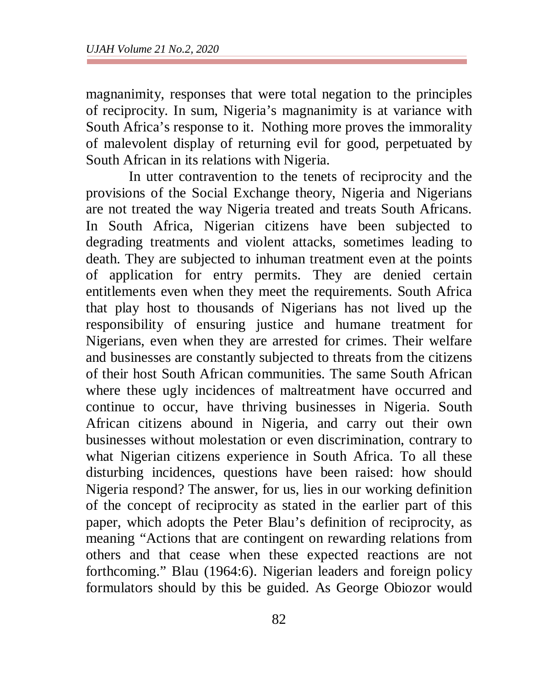magnanimity, responses that were total negation to the principles of reciprocity. In sum, Nigeria's magnanimity is at variance with South Africa's response to it. Nothing more proves the immorality of malevolent display of returning evil for good, perpetuated by South African in its relations with Nigeria.

In utter contravention to the tenets of reciprocity and the provisions of the Social Exchange theory, Nigeria and Nigerians are not treated the way Nigeria treated and treats South Africans. In South Africa, Nigerian citizens have been subjected to degrading treatments and violent attacks, sometimes leading to death. They are subjected to inhuman treatment even at the points of application for entry permits. They are denied certain entitlements even when they meet the requirements. South Africa that play host to thousands of Nigerians has not lived up the responsibility of ensuring justice and humane treatment for Nigerians, even when they are arrested for crimes. Their welfare and businesses are constantly subjected to threats from the citizens of their host South African communities. The same South African where these ugly incidences of maltreatment have occurred and continue to occur, have thriving businesses in Nigeria. South African citizens abound in Nigeria, and carry out their own businesses without molestation or even discrimination, contrary to what Nigerian citizens experience in South Africa. To all these disturbing incidences, questions have been raised: how should Nigeria respond? The answer, for us, lies in our working definition of the concept of reciprocity as stated in the earlier part of this paper, which adopts the Peter Blau's definition of reciprocity, as meaning "Actions that are contingent on rewarding relations from others and that cease when these expected reactions are not forthcoming." Blau (1964:6). Nigerian leaders and foreign policy formulators should by this be guided. As George Obiozor would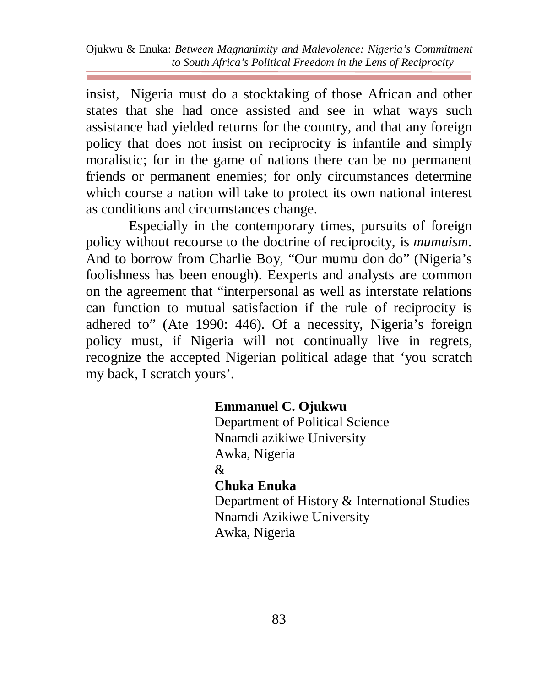insist, Nigeria must do a stocktaking of those African and other states that she had once assisted and see in what ways such assistance had yielded returns for the country, and that any foreign policy that does not insist on reciprocity is infantile and simply moralistic; for in the game of nations there can be no permanent friends or permanent enemies; for only circumstances determine which course a nation will take to protect its own national interest as conditions and circumstances change.

Especially in the contemporary times, pursuits of foreign policy without recourse to the doctrine of reciprocity, is *mumuism*. And to borrow from Charlie Boy, "Our mumu don do" (Nigeria's foolishness has been enough). Eexperts and analysts are common on the agreement that "interpersonal as well as interstate relations can function to mutual satisfaction if the rule of reciprocity is adhered to" (Ate 1990: 446). Of a necessity, Nigeria's foreign policy must, if Nigeria will not continually live in regrets, recognize the accepted Nigerian political adage that 'you scratch my back, I scratch yours'.

#### **Emmanuel C. Ojukwu**

Department of Political Science Nnamdi azikiwe University Awka, Nigeria &

#### **Chuka Enuka**

Department of History & International Studies Nnamdi Azikiwe University Awka, Nigeria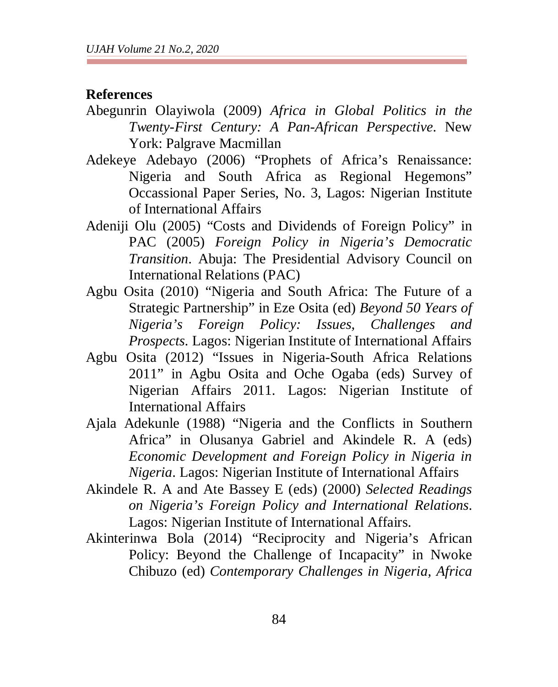#### **References**

- Abegunrin Olayiwola (2009) *Africa in Global Politics in the Twenty-First Century: A Pan-African Perspective*. New York: Palgrave Macmillan
- Adekeye Adebayo (2006) "Prophets of Africa's Renaissance: Nigeria and South Africa as Regional Hegemons" Occassional Paper Series, No. 3, Lagos: Nigerian Institute of International Affairs
- Adeniji Olu (2005) "Costs and Dividends of Foreign Policy" in PAC (2005) *Foreign Policy in Nigeria's Democratic Transition*. Abuja: The Presidential Advisory Council on International Relations (PAC)
- Agbu Osita (2010) "Nigeria and South Africa: The Future of a Strategic Partnership" in Eze Osita (ed) *Beyond 50 Years of Nigeria's Foreign Policy: Issues, Challenges and Prospects*. Lagos: Nigerian Institute of International Affairs
- Agbu Osita (2012) "Issues in Nigeria-South Africa Relations 2011" in Agbu Osita and Oche Ogaba (eds) Survey of Nigerian Affairs 2011. Lagos: Nigerian Institute of International Affairs
- Ajala Adekunle (1988) "Nigeria and the Conflicts in Southern Africa" in Olusanya Gabriel and Akindele R. A (eds) *Economic Development and Foreign Policy in Nigeria in Nigeria*. Lagos: Nigerian Institute of International Affairs
- Akindele R. A and Ate Bassey E (eds) (2000) *Selected Readings on Nigeria's Foreign Policy and International Relations*. Lagos: Nigerian Institute of International Affairs.
- Akinterinwa Bola (2014) "Reciprocity and Nigeria's African Policy: Beyond the Challenge of Incapacity" in Nwoke Chibuzo (ed) *Contemporary Challenges in Nigeria, Africa*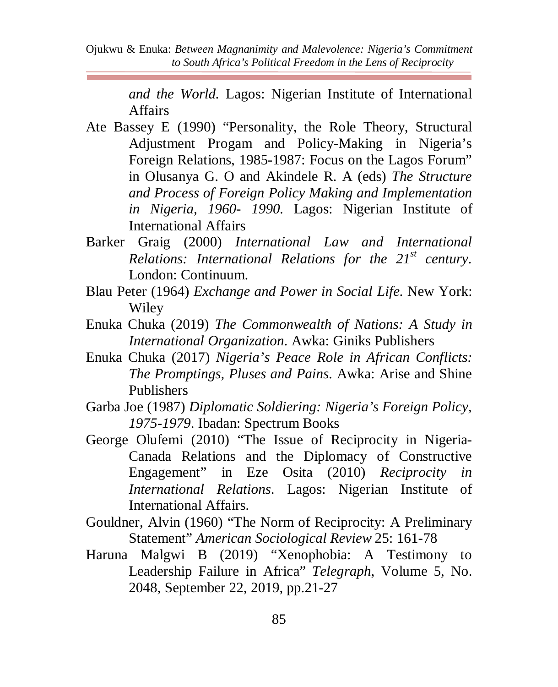> *and the World.* Lagos: Nigerian Institute of International Affairs

- Ate Bassey E (1990) "Personality, the Role Theory, Structural Adjustment Progam and Policy-Making in Nigeria's Foreign Relations, 1985-1987: Focus on the Lagos Forum" in Olusanya G. O and Akindele R. A (eds) *The Structure and Process of Foreign Policy Making and Implementation in Nigeria, 1960- 1990.* Lagos: Nigerian Institute of International Affairs
- Barker Graig (2000) *International Law and International Relations: International Relations for the 21st century*. London: Continuum.
- Blau Peter (1964) *Exchange and Power in Social Life*. New York: Wiley
- Enuka Chuka (2019) *The Commonwealth of Nations: A Study in International Organization*. Awka: Giniks Publishers
- Enuka Chuka (2017) *Nigeria's Peace Role in African Conflicts: The Promptings, Pluses and Pains*. Awka: Arise and Shine Publishers
- Garba Joe (1987) *Diplomatic Soldiering: Nigeria's Foreign Policy, 1975-1979*. Ibadan: Spectrum Books
- George Olufemi (2010) "The Issue of Reciprocity in Nigeria-Canada Relations and the Diplomacy of Constructive Engagement" in Eze Osita (2010) *Reciprocity in International Relations*. Lagos: Nigerian Institute of International Affairs.
- Gouldner, Alvin (1960) "The Norm of Reciprocity: A Preliminary Statement" *American Sociological Review* 25: 161-78
- Haruna Malgwi B (2019) "Xenophobia: A Testimony to Leadership Failure in Africa" *Telegraph*, Volume 5, No. 2048, September 22, 2019, pp.21-27